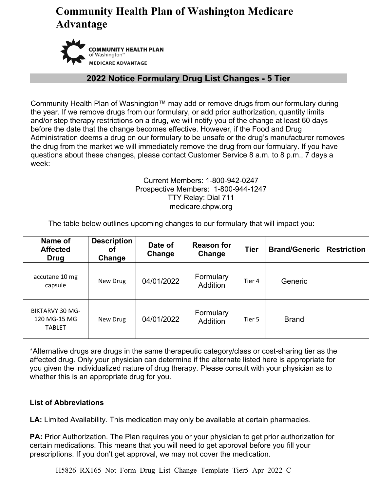# **Community Health Plan of Washington Medicare Advantage**



### **2022 Notice Formulary Drug List Changes - 5 Tier**

Community Health Plan of Washington™ may add or remove drugs from our formulary during the year. If we remove drugs from our formulary, or add prior authorization, quantity limits and/or step therapy restrictions on a drug, we will notify you of the change at least 60 days before the date that the change becomes effective. However, if the Food and Drug Administration deems a drug on our formulary to be unsafe or the drug's manufacturer removes the drug from the market we will immediately remove the drug from our formulary. If you have questions about these changes, please contact Customer Service 8 a.m. to 8 p.m., 7 days a week:

#### Current Members: 1-800-942-0247 Prospective Members: 1-800-944-1247 TTY Relay: Dial 711 medicare.chpw.org

The table below outlines upcoming changes to our formulary that will impact you:

| Name of<br><b>Affected</b><br><b>Drug</b>               | <b>Description</b><br>Οt<br>Change | Date of<br>Change | <b>Reason for</b><br>Change  | <b>Tier</b> | <b>Brand/Generic</b> | <b>Restriction</b> |
|---------------------------------------------------------|------------------------------------|-------------------|------------------------------|-------------|----------------------|--------------------|
| accutane 10 mg<br>capsule                               | New Drug                           | 04/01/2022        | Formulary<br><b>Addition</b> | Tier 4      | Generic              |                    |
| <b>BIKTARVY 30 MG-</b><br>120 MG-15 MG<br><b>TABLET</b> | New Drug                           | 04/01/2022        | Formulary<br><b>Addition</b> | Tier 5      | <b>Brand</b>         |                    |

\*Alternative drugs are drugs in the same therapeutic category/class or cost-sharing tier as the affected drug. Only your physician can determine if the alternate listed here is appropriate for you given the individualized nature of drug therapy. Please consult with your physician as to whether this is an appropriate drug for you.

### **List of Abbreviations**

**LA:** Limited Availability. This medication may only be available at certain pharmacies.

**PA:** Prior Authorization. The Plan requires you or your physician to get prior authorization for certain medications. This means that you will need to get approval before you fill your prescriptions. If you don't get approval, we may not cover the medication.

H5826 RX165 Not Form Drug List Change Template Tier5 Apr 2022 C